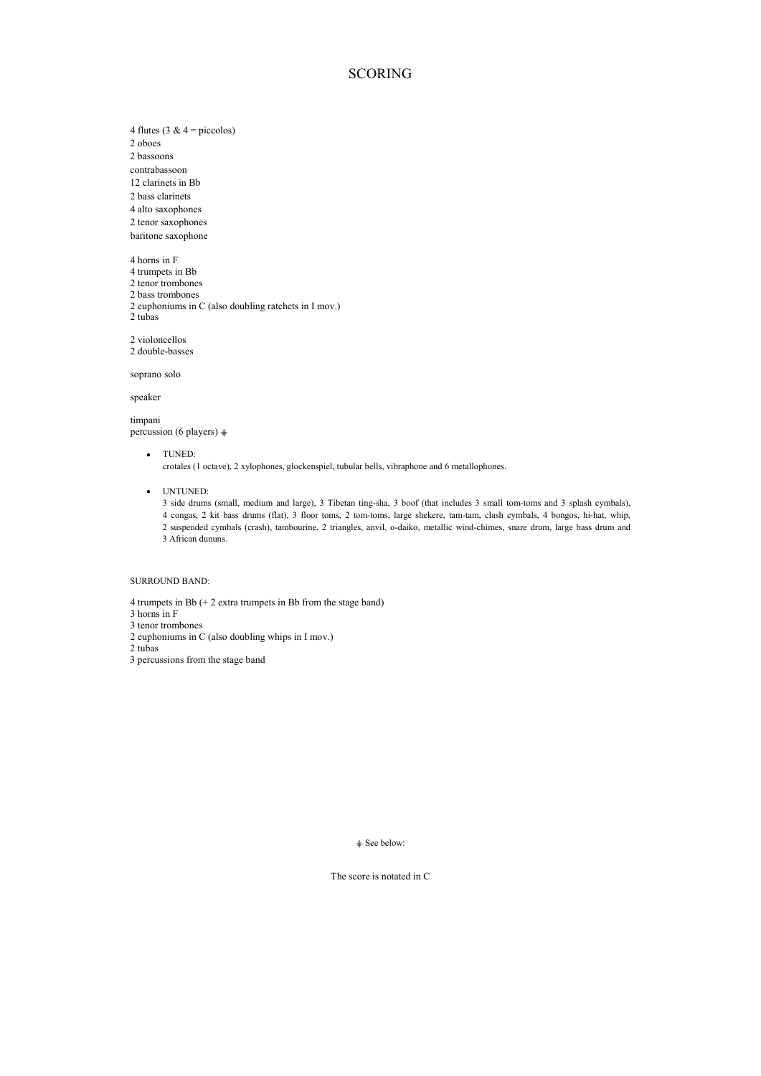### **SCORING**

4 flutes (3 &  $4 = piccolos$ ) 2 oboes 2 bassoons contrabassoon

12 clarinets in Bb

2 bass clarinets

4 alto saxophones

2 tenor saxophones baritone saxophone

4 horns in F

4 trumpets in Bb

2 tenor trombones 2 bass trombones

2 euphoniums in C (also doubling ratchets in I mov.)

2 tubas

2 violoncellos

2 double-basses

soprano solo

speaker

timpani percussion (6 players)  $\triangleq$ 

TUNED:

crotales (1 octave), 2 xylophones, glockenspiel, tubular bells, vibraphone and 6 metallophones.

UNTUNED:

3 side drums (small, medium and large), 3 Tibetan ting-sha, 3 boof (that includes 3 small tom-toms and 3 splash cymbals), 4 congas, 2 kit bass drums (flat), 3 floor toms, 2 tom-toms, large shekere, tam-tam, clash cymbals, 4 bongos, hi-hat, whip, 2 suspended cymbals (crash), tambourine, 2 triangles, anvil, o-daiko, metallic wind-chimes, snare drum, large bass drum and 3 African dununs.

SURROUND BAND:

4 trumpets in Bb (+ 2 extra trumpets in Bb from the stage band)

3 horns in F

3 tenor trombones

- 2 euphoniums in C (also doubling whips in I mov.)
- 2 tubas 3 percussions from the stage band

 $\triangleq$  See below:

The score is notated in C